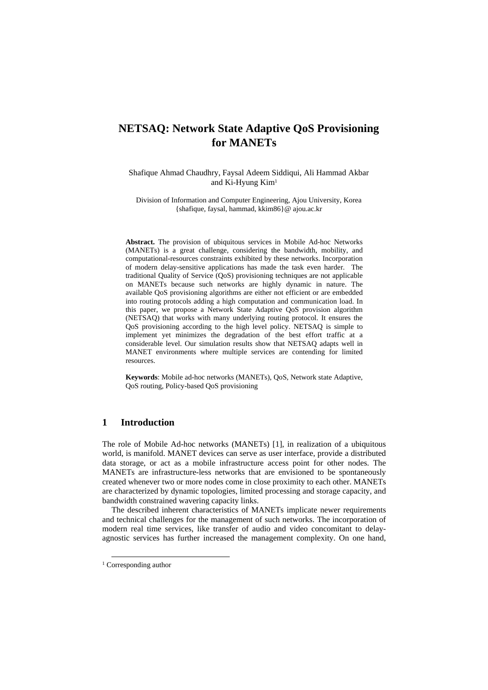# **NETSAQ: Network State Adaptive QoS Provisioning for MANETs**

Shafique Ahmad Chaudhry, Faysal Adeem Siddiqui, Ali Hammad Akbar and Ki-Hyung Kim<sup>1</sup>

Division of Information and Computer Engineering, Ajou University, Korea {shafique, faysal, hammad, kkim86}@ ajou.ac.kr

**Abstract.** The provision of ubiquitous services in Mobile Ad-hoc Networks (MANETs) is a great challenge, considering the bandwidth, mobility, and computational-resources constraints exhibited by these networks. Incorporation of modern delay-sensitive applications has made the task even harder. The traditional Quality of Service (QoS) provisioning techniques are not applicable on MANETs because such networks are highly dynamic in nature. The available QoS provisioning algorithms are either not efficient or are embedded into routing protocols adding a high computation and communication load. In this paper, we propose a Network State Adaptive QoS provision algorithm (NETSAQ) that works with many underlying routing protocol. It ensures the QoS provisioning according to the high level policy. NETSAQ is simple to implement yet minimizes the degradation of the best effort traffic at a considerable level. Our simulation results show that NETSAQ adapts well in MANET environments where multiple services are contending for limited resources.

**Keywords**: Mobile ad-hoc networks (MANETs), QoS, Network state Adaptive, QoS routing, Policy-based QoS provisioning

### **1 Introduction**

The role of Mobile Ad-hoc networks (MANETs) [1], in realization of a ubiquitous world, is manifold. MANET devices can serve as user interface, provide a distributed data storage, or act as a mobile infrastructure access point for other nodes. The MANETs are infrastructure-less networks that are envisioned to be spontaneously created whenever two or more nodes come in close proximity to each other. MANETs are characterized by dynamic topologies, limited processing and storage capacity, and bandwidth constrained wavering capacity links.

The described inherent characteristics of MANETs implicate newer requirements and technical challenges for the management of such networks. The incorporation of modern real time services, like transfer of audio and video concomitant to delayagnostic services has further increased the management complexity. On one hand,

<span id="page-0-0"></span><sup>&</sup>lt;sup>1</sup> Corresponding author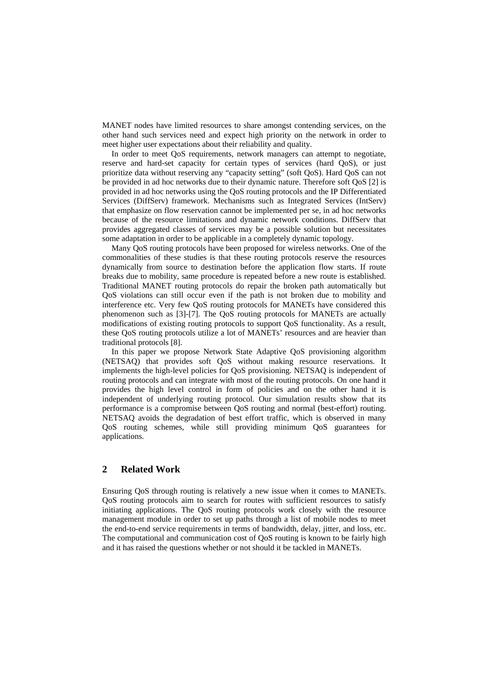MANET nodes have limited resources to share amongst contending services, on the other hand such services need and expect high priority on the network in order to meet higher user expectations about their reliability and quality.

In order to meet QoS requirements, network managers can attempt to negotiate, reserve and hard-set capacity for certain types of services (hard QoS), or just prioritize data without reserving any "capacity setting" (soft QoS). Hard QoS can not be provided in ad hoc networks due to their dynamic nature. Therefore soft QoS [2] is provided in ad hoc networks using the QoS routing protocols and the IP Differentiated Services (DiffServ) framework. Mechanisms such as Integrated Services (IntServ) that emphasize on flow reservation cannot be implemented per se, in ad hoc networks because of the resource limitations and dynamic network conditions. DiffServ that provides aggregated classes of services may be a possible solution but necessitates some adaptation in order to be applicable in a completely dynamic topology.

Many QoS routing protocols have been proposed for wireless networks. One of the commonalities of these studies is that these routing protocols reserve the resources dynamically from source to destination before the application flow starts. If route breaks due to mobility, same procedure is repeated before a new route is established. Traditional MANET routing protocols do repair the broken path automatically but QoS violations can still occur even if the path is not broken due to mobility and interference etc. Very few QoS routing protocols for MANETs have considered this phenomenon such as [3]-[7]. The QoS routing protocols for MANETs are actually modifications of existing routing protocols to support QoS functionality. As a result, these QoS routing protocols utilize a lot of MANETs' resources and are heavier than traditional protocols [8].

In this paper we propose Network State Adaptive QoS provisioning algorithm (NETSAQ) that provides soft QoS without making resource reservations. It implements the high-level policies for QoS provisioning. NETSAQ is independent of routing protocols and can integrate with most of the routing protocols. On one hand it provides the high level control in form of policies and on the other hand it is independent of underlying routing protocol. Our simulation results show that its performance is a compromise between QoS routing and normal (best-effort) routing. NETSAQ avoids the degradation of best effort traffic, which is observed in many QoS routing schemes, while still providing minimum QoS guarantees for applications.

## **2 Related Work**

Ensuring QoS through routing is relatively a new issue when it comes to MANETs. QoS routing protocols aim to search for routes with sufficient resources to satisfy initiating applications. The QoS routing protocols work closely with the resource management module in order to set up paths through a list of mobile nodes to meet the end-to-end service requirements in terms of bandwidth, delay, jitter, and loss, etc. The computational and communication cost of QoS routing is known to be fairly high and it has raised the questions whether or not should it be tackled in MANETs.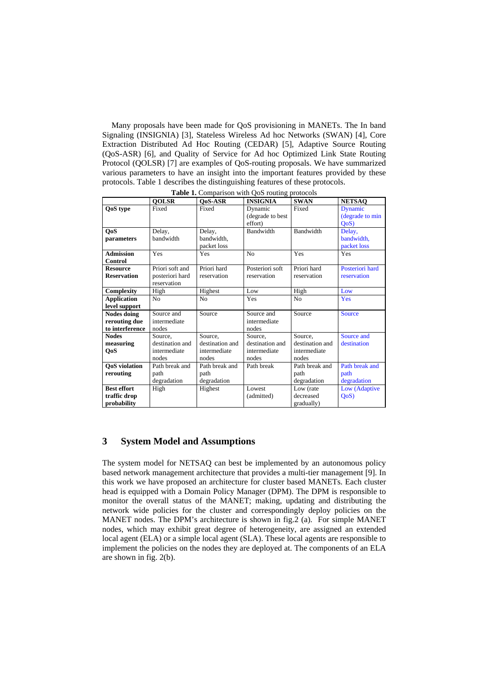Many proposals have been made for QoS provisioning in MANETs. The In band Signaling (INSIGNIA) [3], Stateless Wireless Ad hoc Networks (SWAN) [4], Core Extraction Distributed Ad Hoc Routing (CEDAR) [5], Adaptive Source Routing (QoS-ASR) [6], and Quality of Service for Ad hoc Optimized Link State Routing Protocol (QOLSR) [7] are examples of QoS-routing proposals. We have summarized various parameters to have an insight into the important features provided by these protocols. Table 1 describes the distinguishing features of these protocols.

|                                                        | <b>OOLSR</b>                                        | <b>OoS-ASR</b>                                      | <b>INSIGNIA</b>                                     | <b>SWAN</b>                                         | <b>NETSAO</b>                         |
|--------------------------------------------------------|-----------------------------------------------------|-----------------------------------------------------|-----------------------------------------------------|-----------------------------------------------------|---------------------------------------|
| <b>QoS</b> type                                        | Fixed                                               | Fixed                                               | Dynamic<br>(degrade to best)<br>effort)             | Fixed                                               | Dynamic<br>(degrade to min)<br>OoS    |
| <b>QoS</b><br>parameters                               | Delay,<br>bandwidth                                 | Delay,<br>bandwidth,<br>packet loss                 | Bandwidth                                           | Bandwidth                                           | Delay,<br>bandwidth,<br>packet loss   |
| <b>Admission</b><br>Control                            | Yes                                                 | Yes                                                 | N <sub>0</sub>                                      | Yes                                                 | Yes                                   |
| <b>Resource</b><br><b>Reservation</b>                  | Priori soft and<br>posteriori hard<br>reservation   | Priori hard<br>reservation                          | Posteriori soft<br>reservation                      | Priori hard<br>reservation                          | Posteriori hard<br>reservation        |
| Complexity                                             | High                                                | Highest                                             | Low                                                 | High                                                | Low                                   |
| <b>Application</b><br>level support                    | N <sub>0</sub>                                      | N <sub>0</sub>                                      | Yes                                                 | N <sub>0</sub>                                      | Yes                                   |
| <b>Nodes doing</b><br>rerouting due<br>to interference | Source and<br>intermediate<br>nodes                 | Source                                              | Source and<br>intermediate<br>nodes                 | Source                                              | <b>Source</b>                         |
| <b>Nodes</b><br>measuring<br><b>OoS</b>                | Source,<br>destination and<br>intermediate<br>nodes | Source,<br>destination and<br>intermediate<br>nodes | Source,<br>destination and<br>intermediate<br>nodes | Source.<br>destination and<br>intermediate<br>nodes | Source and<br>destination             |
| <b>OoS</b> violation<br>rerouting                      | Path break and<br>path<br>degradation               | Path break and<br>path<br>degradation               | Path break                                          | Path break and<br>path<br>degradation               | Path break and<br>path<br>degradation |
| <b>Best effort</b><br>traffic drop<br>probability      | High                                                | Highest                                             | Lowest<br>(admitted)                                | Low (rate<br>decreased<br>gradually)                | Low (Adaptive<br>QoS                  |

**Table 1.** Comparison with QoS routing protocols

### **3 System Model and Assumptions**

The system model for NETSAQ can best be implemented by an autonomous policy based network management architecture that provides a multi-tier management [9]. In this work we have proposed an architecture for cluster based MANETs. Each cluster head is equipped with a Domain Policy Manager (DPM). The DPM is responsible to monitor the overall status of the MANET; making, updating and distributing the network wide policies for the cluster and correspondingly deploy policies on the MANET nodes. The DPM's architecture is shown in fig.2 (a). For simple MANET nodes, which may exhibit great degree of heterogeneity, are assigned an extended local agent (ELA) or a simple local agent (SLA). These local agents are responsible to implement the policies on the nodes they are deployed at. The components of an ELA are shown in fig. 2(b).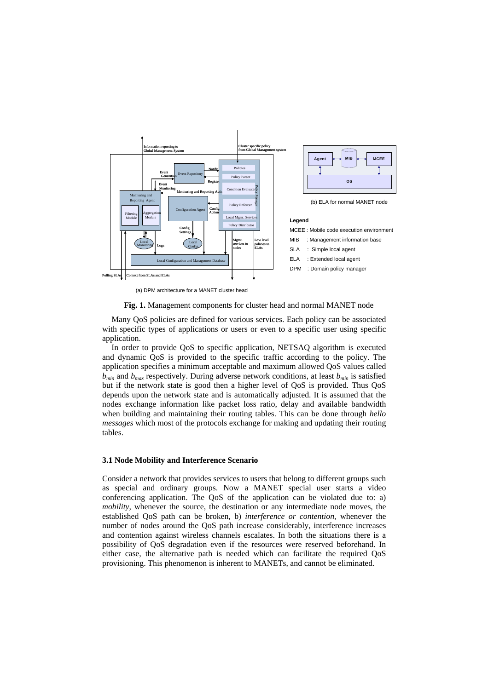

(a) DPM architecture for a MANET cluster head

**Fig. 1.** Management components for cluster head and normal MANET node

Many QoS policies are defined for various services. Each policy can be associated with specific types of applications or users or even to a specific user using specific application.

In order to provide QoS to specific application, NETSAQ algorithm is executed and dynamic QoS is provided to the specific traffic according to the policy. The application specifies a minimum acceptable and maximum allowed QoS values called  $b_{min}$  and  $b_{max}$  respectively. During adverse network conditions, at least  $b_{min}$  is satisfied but if the network state is good then a higher level of QoS is provided. Thus QoS depends upon the network state and is automatically adjusted. It is assumed that the nodes exchange information like packet loss ratio, delay and available bandwidth when building and maintaining their routing tables. This can be done through *hello messages* which most of the protocols exchange for making and updating their routing tables.

#### **3.1 Node Mobility and Interference Scenario**

Consider a network that provides services to users that belong to different groups such as special and ordinary groups. Now a MANET special user starts a video conferencing application. The QoS of the application can be violated due to: a) *mobility,* whenever the source, the destination or any intermediate node moves, the established QoS path can be broken, b) *interference or contention,* whenever the number of nodes around the QoS path increase considerably, interference increases and contention against wireless channels escalates. In both the situations there is a possibility of QoS degradation even if the resources were reserved beforehand. In either case, the alternative path is needed which can facilitate the required QoS provisioning. This phenomenon is inherent to MANETs, and cannot be eliminated.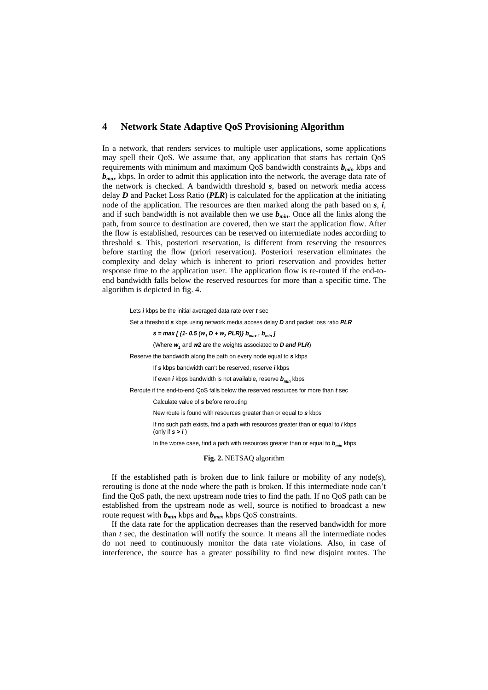#### **4 Network State Adaptive QoS Provisioning Algorithm**

In a network, that renders services to multiple user applications, some applications may spell their QoS. We assume that, any application that starts has certain QoS requirements with minimum and maximum  $\cos$  bandwidth constraints  $b_{min}$  kbps and *b<sub>max</sub>* kbps. In order to admit this application into the network, the average data rate of the network is checked. A bandwidth threshold *s*, based on network media access delay *D* and Packet Loss Ratio (*PLR*) is calculated for the application at the initiating node of the application. The resources are then marked along the path based on *s*, *i*, and if such bandwidth is not available then we use  $b_{min}$ . Once all the links along the path, from source to destination are covered, then we start the application flow. After the flow is established, resources can be reserved on intermediate nodes according to threshold *s*. This, posteriori reservation, is different from reserving the resources before starting the flow (priori reservation). Posteriori reservation eliminates the complexity and delay which is inherent to priori reservation and provides better response time to the application user. The application flow is re-routed if the end-toend bandwidth falls below the reserved resources for more than a specific time. The algorithm is depicted in fig. 4.

Lets *i* kbps be the initial averaged data rate over *t* sec

Set a threshold *s* kbps using network media access delay *D* and packet loss ratio *PLR*

 $s = max$  [ {1 - 0.5 (w<sub>1</sub> D + w<sub>2</sub> *PLR*)}  $b_{max}$ ,  $b_{min}$  *]* 

(Where  $w_1$  and  $w_2$  are the weights associated to *D* and PLR)

Reserve the bandwidth along the path on every node equal to *s* kbps

If *s* kbps bandwidth can't be reserved, reserve *i* kbps

If even *i* kbps bandwidth is not available, reserve  $b_{min}$  kbps

Reroute if the end-to-end QoS falls below the reserved resources for more than *t* sec

Calculate value of *s* before rerouting

New route is found with resources greater than or equal to *s* kbps

If no such path exists, find a path with resources greater than or equal to *i* kbps (only if *s > i* )

In the worse case, find a path with resources greater than or equal to  $b_{min}$  kbps

#### **Fig. 2.** NETSAQ algorithm

If the established path is broken due to link failure or mobility of any node(s), rerouting is done at the node where the path is broken. If this intermediate node can't find the QoS path, the next upstream node tries to find the path. If no QoS path can be established from the upstream node as well, source is notified to broadcast a new route request with  $b_{min}$  kbps and  $b_{max}$  kbps QoS constraints.

If the data rate for the application decreases than the reserved bandwidth for more than *t* sec, the destination will notify the source. It means all the intermediate nodes do not need to continuously monitor the data rate violations. Also, in case of interference, the source has a greater possibility to find new disjoint routes. The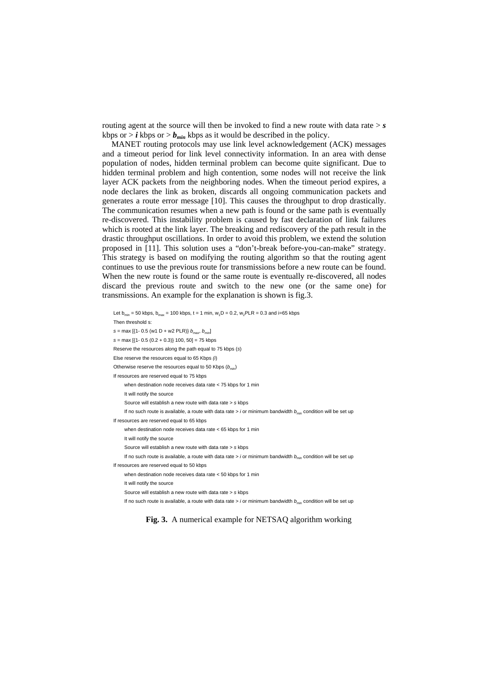routing agent at the source will then be invoked to find a new route with data rate > *s* kbps or  $> i$  kbps or  $> b_{min}$  kbps as it would be described in the policy.

MANET routing protocols may use link level acknowledgement (ACK) messages and a timeout period for link level connectivity information. In an area with dense population of nodes, hidden terminal problem can become quite significant. Due to hidden terminal problem and high contention, some nodes will not receive the link layer ACK packets from the neighboring nodes. When the timeout period expires, a node declares the link as broken, discards all ongoing communication packets and generates a route error message [10]. This causes the throughput to drop drastically. The communication resumes when a new path is found or the same path is eventually re-discovered. This instability problem is caused by fast declaration of link failures which is rooted at the link layer. The breaking and rediscovery of the path result in the drastic throughput oscillations. In order to avoid this problem, we extend the solution proposed in [11]. This solution uses a "don't-break before-you-can-make" strategy. This strategy is based on modifying the routing algorithm so that the routing agent continues to use the previous route for transmissions before a new route can be found. When the new route is found or the same route is eventually re-discovered, all nodes discard the previous route and switch to the new one (or the same one) for transmissions. An example for the explanation is shown is fig.3.

Let  $b_{\text{min}} = 50$  kbps,  $b_{\text{max}} = 100$  kbps,  $t = 1$  min,  $w_1D = 0.2$ ,  $w_2PLR = 0.3$  and i=65 kbps Then threshold s:  $s = \max \left[ \{1 - 0.5 \, (\text{w1 D} + \text{w2 PLR}) \} \, b_{\text{max}}, \, b_{\text{min}} \right]$ *s* = max [{1- 0.5 (0.2 + 0.3)} 100, 50] = 75 kbps Reserve the resources along the path equal to 75 kbps (*s*) Else reserve the resources equal to 65 Kbps *(i*) Otherwise reserve the resources equal to 50 Kbps (*b<sub>min</sub>*) If resources are reserved equal to 75 kbps when destination node receives data rate  $<$  75 kbps for 1 min It will notify the source Source will establish a new route with data rate > *s* kbps If no such route is available, a route with data rate > *i* or minimum bandwidth  $b_{min}$  condition will be set up If resources are reserved equal to 65 kbps when destination node receives data rate < 65 kbps for 1 min It will notify the source Source will establish a new route with data rate > *s* kbps If no such route is available, a route with data rate > *i* or minimum bandwidth  $b_{min}$  condition will be set up If resources are reserved equal to 50 kbps when destination node receives data rate < 50 kbps for 1 min

It will notify the source

Source will establish a new route with data rate > *s* kbps

If no such route is available, a route with data rate > *i* or minimum bandwidth  $b_{min}$  condition will be set up

**Fig. 3.** A numerical example for NETSAQ algorithm working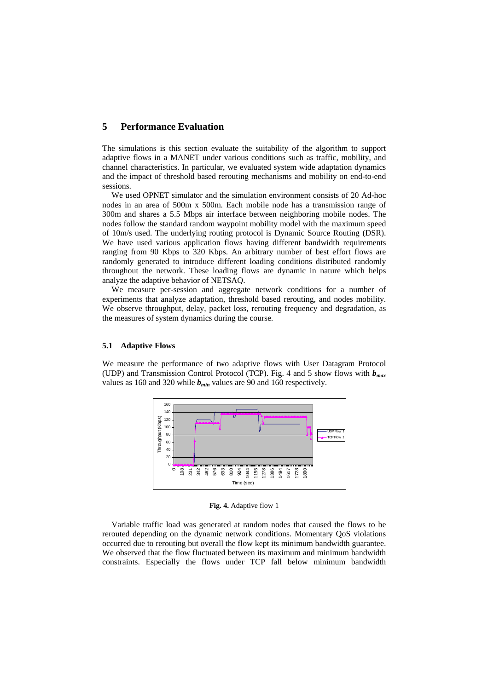### **5 Performance Evaluation**

The simulations is this section evaluate the suitability of the algorithm to support adaptive flows in a MANET under various conditions such as traffic, mobility, and channel characteristics. In particular, we evaluated system wide adaptation dynamics and the impact of threshold based rerouting mechanisms and mobility on end-to-end sessions.

We used OPNET simulator and the simulation environment consists of 20 Ad-hoc nodes in an area of 500m x 500m. Each mobile node has a transmission range of 300m and shares a 5.5 Mbps air interface between neighboring mobile nodes. The nodes follow the standard random waypoint mobility model with the maximum speed of 10m/s used. The underlying routing protocol is Dynamic Source Routing (DSR). We have used various application flows having different bandwidth requirements ranging from 90 Kbps to 320 Kbps. An arbitrary number of best effort flows are randomly generated to introduce different loading conditions distributed randomly throughout the network. These loading flows are dynamic in nature which helps analyze the adaptive behavior of NETSAQ.

We measure per-session and aggregate network conditions for a number of experiments that analyze adaptation, threshold based rerouting, and nodes mobility. We observe throughput, delay, packet loss, rerouting frequency and degradation, as the measures of system dynamics during the course.

#### **5.1 Adaptive Flows**

We measure the performance of two adaptive flows with User Datagram Protocol (UDP) and Transmission Control Protocol (TCP). Fig. 4 and 5 show flows with *bmax* values as 160 and 320 while  $b_{min}$  values are 90 and 160 respectively.



**Fig. 4.** Adaptive flow 1

Variable traffic load was generated at random nodes that caused the flows to be rerouted depending on the dynamic network conditions. Momentary QoS violations occurred due to rerouting but overall the flow kept its minimum bandwidth guarantee. We observed that the flow fluctuated between its maximum and minimum bandwidth constraints. Especially the flows under TCP fall below minimum bandwidth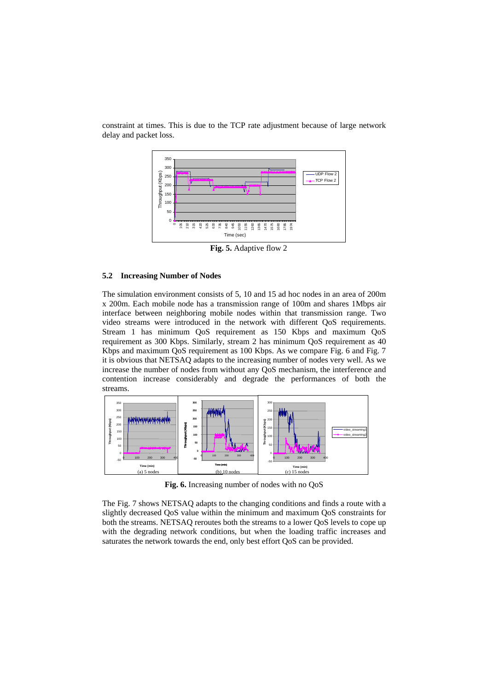

constraint at times. This is due to the TCP rate adjustment because of large network delay and packet loss.

**Fig. 5.** Adaptive flow 2

#### **5.2 Increasing Number of Nodes**

The simulation environment consists of 5, 10 and 15 ad hoc nodes in an area of 200m x 200m. Each mobile node has a transmission range of 100m and shares 1Mbps air interface between neighboring mobile nodes within that transmission range. Two video streams were introduced in the network with different QoS requirements. Stream 1 has minimum QoS requirement as 150 Kbps and maximum QoS requirement as 300 Kbps. Similarly, stream 2 has minimum QoS requirement as 40 Kbps and maximum QoS requirement as 100 Kbps. As we compare Fig. 6 and Fig. 7 it is obvious that NETSAQ adapts to the increasing number of nodes very well. As we increase the number of nodes from without any QoS mechanism, the interference and contention increase considerably and degrade the performances of both the streams.



**Fig. 6.** Increasing number of nodes with no QoS

The Fig. 7 shows NETSAQ adapts to the changing conditions and finds a route with a slightly decreased QoS value within the minimum and maximum QoS constraints for both the streams. NETSAQ reroutes both the streams to a lower QoS levels to cope up with the degrading network conditions, but when the loading traffic increases and saturates the network towards the end, only best effort QoS can be provided.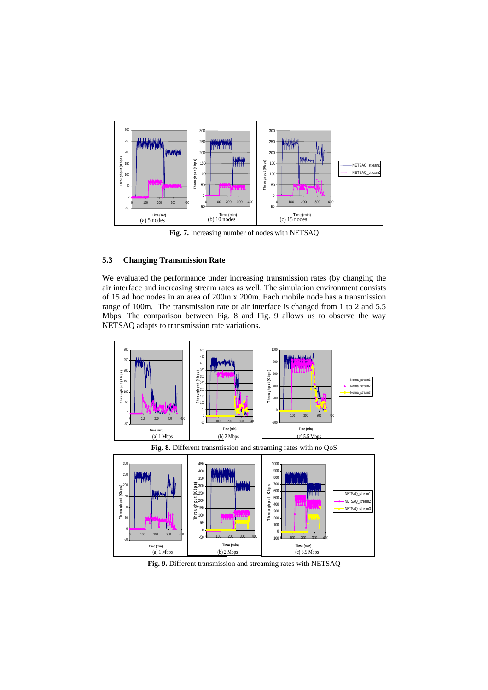

**Fig. 7.** Increasing number of nodes with NETSAQ

#### **5.3 Changing Transmission Rate**

We evaluated the performance under increasing transmission rates (by changing the air interface and increasing stream rates as well. The simulation environment consists of 15 ad hoc nodes in an area of 200m x 200m. Each mobile node has a transmission range of 100m. The transmission rate or air interface is changed from 1 to 2 and 5.5 Mbps. The comparison between Fig. 8 and Fig. 9 allows us to observe the way NETSAQ adapts to transmission rate variations.



**Fig. 8**. Different transmission and streaming rates with no QoS



**Fig. 9.** Different transmission and streaming rates with NETSAQ